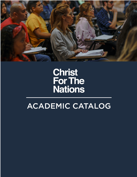

# **Christ<br>For The<br>Nations**

# **ACADEMIC CATALOG**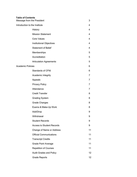#### **Table of Contents**

| Message from the President      |   |
|---------------------------------|---|
| Introduction to the Institute   | 4 |
| History                         | 4 |
| <b>Mission Statement</b>        | 4 |
| Core Values                     | 4 |
| <b>Institutional Objectives</b> | 4 |
| <b>Statement of Belief</b>      | 4 |
| Memberships                     | 5 |
| Accreditation                   | 5 |
| <b>Articulation Agreements</b>  | 5 |
| <b>Academic Policies</b>        | 6 |
| <b>Standards of CFNI</b>        | 6 |
| Academic Integrity              | 7 |

- Appeals 7
- Privacy Policy **7** Attendance 7
- Credit Transfer 8
- Grading System 8
- Grade Changes 8
- Exams & Make-Up Work 8
- Add/Drop 9 Withdrawal 9
- Student Records 9
- Access to Student Records **9**
- Change of Name or Address 11
- Official Communications 11
- Transcript Credits 11
- Grade Point Average 11 Repetition of Courses 11
- Audit Grades and Policy 12 Grade Reports 12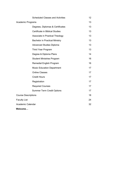| <b>Scheduled Classes and Activities</b> | 12 |
|-----------------------------------------|----|
| <b>Academic Programs</b>                | 13 |
| Degrees, Diplomas & Certificates        | 13 |
| Certificate in Biblical Studies         | 13 |
| Associate in Practical Theology         | 13 |
| <b>Bachelor in Practical Ministry</b>   | 13 |
| <b>Advanced Studies Diploma</b>         | 13 |
| <b>Third Year Program</b>               | 13 |
| Degree & Diploma Plans                  | 14 |
| <b>Student Ministries Program</b>       | 16 |
| Remedial English Program                | 16 |
| <b>Music Education Department</b>       | 17 |
| <b>Online Classes</b>                   | 17 |
| <b>Credit Hours</b>                     | 17 |
| Registration                            | 17 |
| <b>Required Courses</b>                 | 17 |
| <b>Summer Term Credit Options</b>       | 17 |
| <b>Course Descriptions</b>              | 18 |
| <b>Faculty List</b>                     | 24 |
| Academic Calendar                       | 32 |
| Welcome                                 |    |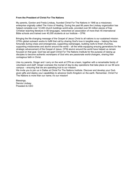#### **From the President of Christ For The Nations**

My parents, Gordon and Freda Lindsay, founded Christ For The Nations in 1948 as a missionary enterprise originally called The Voice of Healing. During the past 66 years the Lindsay organization has helped complete over 12,400 church buildings world-wide, provided over 60 million pieces of free Christian teaching literature in 80 languages, networked an association of more than 45 international Bible schools and trained over 40,000 students at our Institute – CFNI.

Bringing the life-changing message of the Gospel of Jesus Christ to all nations is our sustained mission. CFN's global outreach works to fulfill that call by sharing God's love in tangible ways – helping the less fortunate during crises and emergencies, supporting orphanages, building roofs to finish churches, supporting missionaries and alumni around the world – all the while equipping ensuing generations for the strategic advancement of the Gospel of Jesus. CFNI alumni around the world have helped us remain focused on that goal. God has set apart Christ For The Nations Institute for the purpose of raising up disciples to become authentic worshipers of God who are passionate world-changers, sharing their contagious faith in Christ.

Like my parents, Ginger and I carry on the work at CFN as a team, together with a remarkable family of volunteers and staff. Ginger oversees the myriad of day-to-day operations that take place on our 80 acre campus – ensuring that we are operating true to our mission.

We invite you to join us in Dallas at Christ For The Nations Institute. Discover and develop your Godgiven gifts and deploy your capabilities to advance God's Kingdom on the earth. Remember, Christ For The Nations is more than our name; it's our mission!

Blessings, Dennis Lindsay President & CEO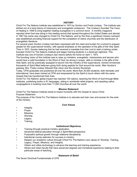## **Introduction to the Institute**

#### **HISTORY**

Christ For The Nations Institute was established in 1970 by Gordon and Freda Lindsay. The Institute was birthed out of a long history of missionary and evangelistic endeavors. The Lindsay's founded The Voice of Healing in 1948 to bring together healing evangelists in a common bond. A monthly magazine reported what God was doing in this healing revival that spread throughout the United States and abroad. In 1967 the name was changed to Christ For The Nations, and by this time a significant mission outreach was established providing financial support for the completion of native churches and the distribution of evangelistic literature.

For several years Gordon Lindsay had been impressed with the need and burden for a school to prepare people for the supernatural ministry, with special emphasis on the operation of the gifts of the Holy Spirit. Then in 1970, Gordon believing that he had received a mandate from the Lord to start a training center, founded Christ For The Nations Institute and began training students in a bankrupt nightclub. This Institute was one of Gordon Lindsay's last visions before his home on April 1, 1973.

The founding vision of this Institute was to raise up ministers, evangelists, missionaries and laymen who would have a solid foundation in the Word of God, be strong in prayer, able to minister in the gifts of the Holy Spirit, and be practically equipped to launch into the ministry of the supernatural. Gordon envisioned thousands of Spirit-filled believers going forth doing exploits for God around the world. After Gordon's passing, Mrs. Freda Lindsay followed that vision and the ministry flourished.

Today, CFNI graduates are positioned all over the world. More than 30,000 students, both domestic and international, have been trained at CFNI and empowered by the Spirit to touch others with the same Gospel that has transformed their lives.

Christ For The Nations' global impact has reached 120 nations, teaching the Word of God through Bible institutes, publishing books in 81 languages, aiding in worldwide relief projects, and assisting native congregations in building more than 11,000 churches all over the world.

#### **Mission Statement**

Christ For The Nations Institute exists to impact humanity with the Gospel of Jesus Christ. Purpose Statement

The purpose of the Christ For The Nations Institute is to educate and train men and women for the work of the ministry.

#### **Core Values**

- **Integrity**
- **Prayer**
- **Missions**
- Worship
- Legacy
- **Training**

#### **Institutional Objectives**

- Training through practical ministry application.
- Advanced biblical education through a Spirit-filled perspective.
- Purposeful spiritual growth through relational discipleship.
- Intentional course selection for success in ministry.
- Deepen our academic culture through Christ For The Nations core values of: Worship, Training, Legacy, Prayer, Missions, and Integrity.
- Obtain and utilize technology to advance the learning and training experience.
- Attract and retain faculty that have advanced degrees and ministerial experience relating to their particular areas of teaching.

#### **Statement of Belief**

The Seven Doctrinal Fundamentals of CFN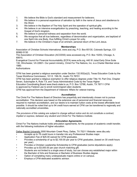- 1. We believe the Bible is God's standard and measurement for believers.
- 2. We believe in a personal experience of salvation by faith in the name of Jesus and obedience to His Word.
- 3. We believe in the Baptism of The Holy Spirit and the operation of spiritual gifts.
- 4. We believe in an intensive evangelization by preaching, teaching, and healing according to the Gospel of God's kingdom.
- 5. We believe in personal holiness and separation from the world.
- 6. We recognize that all true believers, regardless of denomination and organization, are baptized of one Spirit into one Body, thus fulfilling Christ's prayer for unity.
- 7. We believe in the Christian's hope of an eminent, personal return of the Lord Jesus.

#### **Memberships**

Association of Christian Schools International, www.acsi.org, P.O. Box 65130, Colorado Springs, CO 80962-5130

The Association of Christian Education (ACCESS) www.accessed.org, P.O. Box 10253, Chicago, IL 60610,

Evangelical Council for Financial Accountability (ECFA) www.ecfa.org, 440 W Jubal Early Drive Suite 130, Winchester, VA 22601- Our parent ministry, Christ For The Nations, Inc. is a Charter Member since 1980.

#### **Authorizations**

CFNI has been granted a religious exemption under Section 132.002(a)(2), Texas Education Code by the Texas Workforce Commission, 101 E. 15th St., Austin TX 78701

CFNI has been granted a religious exemption to offer religious degrees under Title 19, Part One, Chapter Seven, Subchapter A, Rule 7.9, and Texas Administrative Code by the Texas Higher

Education Coordinating Board www.thecb.state.tx.us, P.O. Box 12788, Austin, TX 78711 CFNI

is approved by Federal Law to enroll nonimmigrant alien students.

CFNI has approval from the Department of Veterans' Affairs for veteran training.

#### **Accreditation**

The Christ For The Nations Board of Directors has prayerfully and intentionally chosen not to pursue accreditation. This decision was based on the extensive use of personnel and financial resources required to maintain accreditation, and our desire is to maintain tuition costs at the lowest affordable level possible. It should be noted that up to 94 credit hours earned at CFNI can be transferred to regionally and nationally accredited universities.

*The provisions of this catalog are subject to change without notice and do not constitute a contract, implied or express, between any student and Christ For The Nations Institute.*

#### **Articulation Agreements**

Christ For The Nations Institute holds articulation agreements, for the purpose of academic credit transfer, with the following institutions of higher education.

Dallas Baptist University 3000 Mountain Creek Pkwy, Dallas, TX 75211 Website: www.dbu.edu

- Accepts up to 78 credit hours in transfer into any Professional Studies major.
- Application Fee of \$25.00 waived for CFNI graduates.
- Provides a scholarship of up to \$2,100.00 per year to CFNI graduates, (based on 30 credit hours per year).
- Provides a Christian Leadership Scholarship to CFNI graduates (some stipulations apply).
- Provides up to \$3,000.00 per year church matching gift.
- Students are not limited to a single area of study, but can choose any established major within the Bachelor of Arts and Sciences or Bachelor of Business Studies degree.
- Option of completing many undergraduate majors online or on campus.
- Employs a CFNI-dedicated academic advisor.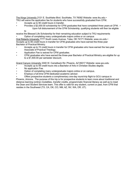The Kings University 2121 E. Southlake Blvd. Southlake, TX 76092 Website: www.tku.edu • TKU will waive the application fee for students who have successfully graduated from CFNI.

- Accepts up to 90 credit hours in transfer.
- Provides a \$2,000.00 scholarship for CFNI graduates that have completed three years at CFNI . Upon full disbursement of the CFNI Scholarship, qualifying students will then be eligible to

receive the Blessed Life Scholarship for their remaining education subject to TKU requirements • Option of completing many undergraduate majors online or on campus

Oral Roberts University 7777 South Lewis Avenue, Tulsa, OK 74171 Website: www.oru.edu • Accepts up to 85 credit hours in transfer for CFNI graduates who have earned the three-year Bachelor of Practical Ministry.

- Accepts up to 72 credit hours in transfer for CFNI graduates who have earned the two-year Associate of Practical Theology.
- Application Fee is waived for CFNI graduates.
- CFNI graduates who have earned the three-year Bachelor of Practical Ministry are eligible for up to a \$1,500.00 per semester discount.

Grand Canyon University 3300 W. Camelback Rd. Phoenix, AZ 85017 Website: www.gcu.edu

- Accepts up to 59 credit hours into a Bachelor of Arts in Christian Studies degree.
- No application Fee.
- Option of completing many undergraduate majors online or on campus.
- Employs a full-time CFNI-dedicated academic advisor.

• Offers prospective students a complimentary one-day round-trip flight to GCU campus in

Phoenix, Arizona. The purpose of this trip is for prospective students to learn more about traditional and distance learning (online) modalities, transfer credits, programmatic financial literacy as well as to meet the Dean and Student Services team. This offer is valid for any student, current or past, from CFNI that resides in the Southwest (TX, CA, OK, CO, NM, AZ, NV, WA, OR, UT).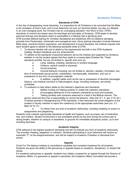# **Academic Policies**

#### **Standards of CFNI**

In this day of disappearing moral absolutes, it is imperative for all Christians to be reminded that the Bible is the revelation of God's truth, and it must determine not only our doctrinal beliefs, but also our lifestyle. In an ever-changing world, the Christian has an unchanging standard—the Word of God. CFNI's standards of conduct are based upon the teachings and principles of Scripture. CFNI seeks to develop personal holiness and discipline which is exemplified in a lifestyle that is glorifying God. CFNI provides Biblical training for Christian discipleship and leadership with its traditions springing primarily from Pentecostal, charismatic and evangelical roots. Since spiritual education involves intensive Bible study, practical ministry experience, and development of sound discipline, the Institute requires that each student agree to adhere to the following standards while at CFNI:

- 1. To become familiar with and to abide by the requirements set forth in the CFNI Academic Catalog, Student Handbook and any amendments.
- 2. To adhere to the standards of personal behavior set by the institute and supported by Scripture, whether or not the student agrees that they relate to a consecrated Christian life. These standards prohibit, but are not limited to, specific acts such as:
	- a. Lying, stealing, cheating, slanderous or profane language;
	- b. Violence, assault (verbal or physical);
	- c. Occult practices;

d. Immoral behavior including, but not limited to: abortion, adultery, fornication, any form of extramarital sexual activity, cohabitation, homosexuality, lesbianism, and use or possession of any form of pornographic material;

e. In addition, ungodly habits such as the use or possession of alcoholic beverages, tobacco, non-medical narcotics or hallucinogenic drugs, including marijuana, are strictly prohibited;

- 3. To endeavor to help others abide by the Institute's objectives and standards:
	- a. Neither inciting nor helping another to violate the Institute's standards;
	- b. Encouraging adherence to the Institute's standards by word and example;
	- c. Talking privately with someone observed in a fault in the Biblical manner. The

person observed then has a responsibility to correct his behavior. (See Gal. 6:1, 2; Jas. 5:19, 20.) If he/she persists in disregarding the CFNI standards, it then becomes the moral obligation of the student or faculty member to report the violation(s) to the appropriate authorities (see Lev. 5:1; Matt.18:15-17);

d. To refrain from any kind of academic dishonesty, including cheating on exams or assignments and plagiarizing.

Students must maintain appropriate standards of health and hygiene, such as proper use of medication, rest, and nutrition. Student involvement in any prohibited activity at any time during the school year or during breaks, whether on campus or elsewhere, is grounds for immediate disciplinary action, up to and including dismissal.

#### **Academic Integrity**

CFNI adheres to the highest academic standards and will not tolerate any form of academic dishonesty. This includes cheating, plagiarism or collusion. Students participating in such behaviors will receive an automatic "F" on the assignment/exam, and will be subject to Academic Probation or dismissal from school.

#### **Appeals**

Christ For The Nations Institute is committed to equitable and consistent treatment for all students. Students are given the ability to file grievances or appeals based on academic, disciplinary, or student life issues.

For academic grievances or appeals, students may initiate a request for an appeal through the Director of Academic Affairs. If a grievance or appeal is warranted, the Academic Affairs Committee will provide a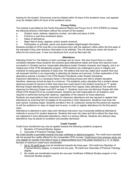hearing for the student. Grievances must be initiated within 30 days of the academic issue, and appeals must be initiated within 24 hours of the academic action.

#### **Privacy Policy**

The institute is permitted by the Family Educational Rights and Privacy Act of 1974 (FERPA) to release the following directory information without the consent of the student:

- a. Student name, address, telephone number, and date and place of birth;
- b. Full-time or part-time enrollment status;
- c. Dates of attendance;
- d. Major field of study; degrees, and/or awards received;
- e. Participation in activities, sports and sports-related height/weight information.

Students enrolled at CFNI must file a non-disclosure form with the registrar's office within the first week of the semester if they wish directory information to be withheld. The non-disclosure notice will remain in effect for the school year. A new non-disclosure form must be filed each fall.

#### **Attendance**

Attending Christ For The Nations is both a privilege and an honor. We have found there is a direct correlation between those students who practice good attendance habits and those who become most successful in Christian service. Impeccable attendance builds Christian character and integrity, and is an integral part of the CFNI discipleship program. CFNI students are challenged to grow in integrity and character by being good stewards of class time. We believe that God has called each student here and will empower him/her to act responsibly in attending all classes and services. Further explanation of the attendance policies is located in the CFNI Student Handbook under Student Disciplines.

Classroom attendance is a necessary factor in the learning process and vital to student discipline; therefore, absences should be kept at a minimum. The academic policy stipulates that a student whose absences exceed 20 percent of their total class time could result in the student receiving an "F" grade. Morning Chapel attendance has a separate requirement from regular class attendance; the maximum absences for Morning Chapel must NOT exceed 11. Students must scan into Morning Chapel with their official CFNI Student ID to be counted present. Students are held responsible for all academic work required or performed during their absence, regardless of the reasons for those absences.

Students are responsible to their instructors for classroom attendance and are required to register their attendance by scanning their ID badges at the scanners in their classrooms. Students must scan into each period, including chapel. Students enrolled in the I.B. Auditorium during the first period are required to exit the auditorium on days of chapel and re-scan, in order to register attendance for the first period class.

Attendance is attached to each class and individual instructors may incorporate additional attendance methods to account for student absences. Students that scan into class and fail to attend the class they are registered in have defrauded attendance, which is a serious offense. Students who defraud class attendance may be placed on probation and possibly dismissed.

#### **Credit Transfer**

Credit hours transferred may only be applied towards the following academic programs:

- 1. Bachelor of Practical Ministry degree
- 2. Associate of Practical Theology degree

No credit transfer is permitted towards one-year certificate or diploma programs. The credit hours awarded will not exceed the credits offered for the comparable CFNI courses. Credit hours from previous study are only eligible for transfer if the field of study is religious/biblical and if the grade received is a "C" or higher. Number of maximum credit hours transferable:

- 1. Up to 18 credit hours may be transferred towards the three-year, 120-credit hour Bachelor of Practical Ministry degree, or towards the two-year, 78-credit hour Associate of Practical Theology degree.
- 2. No credits are transferable towards the one-year Certificate of Biblical Studies program or the Advanced Studies program.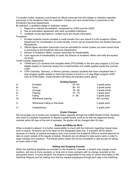To transfer credits, students must forward an official transcript from the college or institution attended previously to the Academic Dean for evaluation. (Unless you have turned those in previously to the Enrollment Services Department)

By definition, a qualified college or institution means:

- 1. Regional or national accreditation, recognized by CHEA and the USDE.
- 2. Has an articulation agreement with other accredited institutions.
- 3. Verifiable course descriptions, contact hours and faculty information.

Procedure:

- 1. Enrolled students should complete a credit transfer form and submit it to the Academic Affairs Department for consideration of credit transfer. A form can be acquired from the Student Services Receptionist.
- 2. Official higher education transcripts must be submitted for review (unless you have turned those in previously to the Enrollment Services Department).
- 3. Director of Academic Affairs, reviews transcripts for transferability.
- 4. Upon approval of transferability of credit, the Director of Academic Affairs will notify the student via email.

Credit Transfer Agreements

- YWAM and LCU students that complete either DTS(YWAM) or the one year program (LCU) are eligible (based on transcript review) for a credit transfer of 6 credits applied toward the summer credit
- CFNI Colombia, Germany, or Mexico (primary campus) students that have completed their 2year program qualify (based on transcript review) to enroll in a 3rd year Major program (ASD only) at CFNI Dallas. Credit transfers will follow the standard policy above.

| <b>Grading System</b> |                                 |          |                |  |
|-----------------------|---------------------------------|----------|----------------|--|
| A-                    | Excellent                       | 94-100   | 4 grade points |  |
| $B -$                 | Good                            | 85-93    | 3 grade points |  |
| $C-$                  | Average                         | 76-84    | 2 grade points |  |
| D-                    | Passing                         | 70-75    | 1 grade point  |  |
| $F-$                  | Failing                         | $0 - 69$ | 0 grade point  |  |
| W-                    | Withdrawal passing              |          | Not counted    |  |
| Х-                    | Withdrawal Failing or Dismissal |          | 0 grade point  |  |
| U-                    | Unsatisfactory                  |          | 0 grade point  |  |

#### **Grade Changes**

We encourage you to review your academic status regularly through the CAMS Student Portal. Students who need to complete coursework or dispute a grade issued, must do so with the respective faculty member within 60 days of the end of semester. No grades will be changed after 60 days.

#### **Exams and Make-up Work**

When a student is absent, it is his/her responsibility to check with the instructor regarding missed class work or exams. All exams are to be taken on the designated days only. If a student will be absent because of a family or medical emergency they must contact the Academic Office to receive approval to take an exam outside of the regular schedule. Students are not allowed to take exams early in order to begin holidays and vacations. Purchased airline tickets will not be considered a valid excuse for taking an exam early or late.

#### **Adding and Dropping Courses**

Within the Add/Drop deadlines as recorded on the Academic Calendar, a student may change course sections, add one or more course(s), or drop one or more course(s) with no change recorded on the permanent record. In every situation, the student is responsible for the entry of correct information in the Add/Drop Request and for making sure that the request progresses through each step in the Add/Drop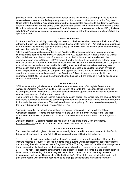process, whether the process is conducted in person on the main campus or through faxes, telephone conversations or computers. To be properly executed, the request must be received in the Registrar's Office before the deadline. Any appropriate refund will be calculated according to the date the Add/Drop Request is received in the Registrar's Office. Students are subject to a \$25 fee each time a drop is made. Note: International students are responsible for maintaining appropriate course loads per INS guidelines. All add/drop/withdrawals can only be processed upon approval of the International Enrollment Office and appropriate dean.

#### **Official Withdrawal**

It is the student's responsibility to officially withdraw from the Institute when necessary. Failure to officially withdraw through the Registrar's Office will cause the student to receive an "F" in each course regardless of the record at the time one ceased to attend class. (Withdrawal from the Institute does not automatically withdraw the student from housing).

After the Add/Drop deadlines recorded on the Academic Calendar, a student may drop one or more courses; this is defined as withdrawal. Withdrawal from ALL courses on ANY date is known as Official (Full) Withdrawal from the Institute. Students will be required to have an exit interview with the appropriate dean prior to Official (Full) Withdrawal from the Institute. If the student has entered into a financial deferment agreement, the student should meet with Student Services before leaving campus. In every situation, the student is responsible for making sure that their withdrawal request progresses through each step in the withdrawal process, whether the process is conducted in person or through faxes, telephone conversations, or computer. Any appropriate refund will be calculated according to the date the withdrawal request is received in the Registrar's Office. All requests are subject to the appropriate fee(s). NOTE: Once the withdrawal period has expired, the grade of "F" will be assigned for courses not completed.

#### **Student Records**

CFNI adheres to the guidelines established by American Association of Collegiate Registrars and Admissions Officers' (AACRAO) guide for the retention of records, the Registrar's Office retains the following documents in a student's permanent academic record: application and correlating documents, academic appeals, and final academic transcript.

The following is a list of various records maintained on each student and where they are housed. Original documents submitted to the Institute become a permanent part of a student's file and will not be returned to the student or sent elsewhere. The Institute adheres to the privacy of student records as required by the Family Educational Rights & Privacy Act (FERPA).

Academic Records: The official transcript and grades are maintained in the Registrar's Office. Admissions Records: Records are transferred from the Enrollment Services Office to the Registrar's Office when the admission process is complete. Completed records are maintained in the Registrar's Office.

Discipline Records: Discipline records are maintained in the office of the Dean of Students. Financial Records: Financial records are maintained in the Financial Office.

#### **Access to Student Records**

Each year this institution gives notice of the various rights accorded to students pursuant to the Family Educational Rights and Privacy Act (FERPA). You are hereby notified of the following:

1. The right to inspect and review the student's education records within 45 days of the day the Institute receives a request for access. Students should submit written requests that specifically identify the record(s) they wish to inspect to the Registrar's Office. The Registrar's Office will make arrangements for access and notify the student of the time and place where the records may be inspected.

2. The right to request the amendment of the student's education records that the student believes isinaccurate or misleading. Students may ask the Institute to amend a record that they believe is inaccurate or misleading. They should notify the Registrar's Office of this request, clearly identifying the part of the record which they are requesting to be changed and specifying why it is inaccurate or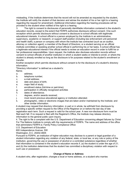misleading. If the Institute determines that the record will not be amended as requested by the student, the Institute will notify the student of that decision and advise the student of his or her right to a hearing regarding the request for amendment. Additional information regarding the hearing procedures will be provided to the student when notified of the right to a hearing.

3. The right to consent to disclosures of personally identifiable information contained in the student's education records, except to the extent that FERPA authorizes disclosure without consent. One such exception which permits disclosure without consent is disclosure to school officials with legitimate educational interests. A school official is a person employed by the Institute in an administrative, supervisory, academic or research, or support staff position (including law enforcement unit personnel and health staff); a person or company with whom the Institute has contracted (such as an auditor, attorney or collection agent); a member of the Board of Directors; or a student serving on an official Institute committee or assisting another school official in performing his or her tasks. A school official has a legitimate educational interest if the official needs to review an education record in order to fulfill his or her professional responsibilities. Upon request, the Institute also discloses education records without consent to school officials of another institution in which a student seeks or intends to enroll, or where the student is already enrolled so long as the disclosure is for purposes related to the student's enrollment or transfer.

Another exception which permits disclosure without consent is for the disclosure of a student's directory information.

"Directory information" is defined as a student's: Name;

- a. address;
- b. telephone number;
- c. e-mail address;
- d. date and place of birth;
- e. major field of study;
- f. enrollment status (full-time or part-time);
- g. participation in officially recognized activities
- h. dates of attendance;
- i. degrees, and/or awards received;
- j. most recent previous educational agency or institution attended;
- k. photographic, video or electronic images that are taken and/or maintained by the Institute; and other similar information.

A student may request that directory information, in part or in whole, be withheld from disclosure by providing a specific written request to the Office of the Registrar on or before the last day of late registration each term. Such a request is valid for the school year. A new non-disclosure form must be filed each fall. If no request is filed with the Registrar's Office, the Institute may release directory information to the general public upon inquiry.

4. The right to file a complaint with the U.S. Department of Education concerning alleged failures by Christ For The Nations Institute to comply with the requirements of FERPA. The name and address of the office that administers FERPA is: Family Policy Compliance Office

U.S. Department of Education

600 Independence Avenue, SW

Washington, D.C. 20202-4605

Pursuant to FERPA, an institution of higher education may disclose to a parent or legal guardian of a student information regarding any violation of any federal, state, or local law, or any rule or policy of the institution, governing the use or possession of alcohol or a controlled substance regardless of whether that information is contained in the student's education records if, (a) the student is under the age of 21; and (b) the institution determines that the student has committed a disciplinary violation with respect to such use or possession.

#### **Change of Name or Address**

A student who, after registration, changes a local or home address, or a student who marries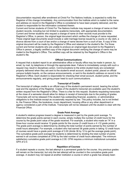(documentation required) after enrollment at Christ For The Nations Institute, is expected to notify the Registrar of this change immediately. Any communication from the Institute which is mailed to the name and address on record in the Registrar's Office is considered to have been properly delivered, and the student is responsible for the information contained therein.

Current and former students of Christ For The Nations Institute may request a change of name on their student records, including but not limited to academic transcripts, with appropriate documentation. Current and former students who request a change of name on their records must provide to the Registrar's Office, in person, the original legal document which verifies the change of name requested. These original legal documents would include a valid marriage license issued by a county or city clerk, a divorce decree from a court of law and/or a change of name decree from a court of law. A copy of this original document will be made by the Registrar's Office and retained in the student's file. For those current and former students who are unable to produce an original legal document to the Registrar's Office in person, a legally certified copy of the original document verifying the change of name may be mailed to the Registrar's Office. The certified copy will be retained by the Registrar's Office in the student's file.

#### **Official Communications**

A request that a student report to an administrative office or faculty office may be made in person, by email, by mail, by telephone or through the appropriate dean. Failure to immediately comply with such a request may result in disciplinary action. Communications to the entire student body are considered properly delivered when they are sent to the student's email account, student portal, placed on official campus bulletin boards, on the campus announcements, or sent to the student's address on record in the Registrar's Office. Each student is responsible for checking their email account, student portal, and the announcements regularly, and giving proper heed to such communications.

#### **Transcript of Credits**

The transcript of college credits is an official copy of the student's permanent record, bearing the school seal and the signature of the Registrar. Copies of the student's transcript are available upon the student's written request from the Registrar's Office. There is a fee for this request. Students requesting transcripts at the close of a semester should allow for delays in receipt of transcripts due to the posting of grades. Transcripts will not be released if the student has outstanding financial, academic, or administrative obligations to the Institute except as occasionally required by law. This policy includes, but is not limited to, the Finance Office, the bookstore, music department, housing office or any other department or agency considered a part of the Institute. Transcripts will not be released until the student is clear with the Financial Office.

#### **Grade Point Average**

A student's relative progress toward a degree is measured in part by the grade point average. To determine the grade points earned in each course, simply multiply the number of credit hours for the course by the grade point value of the grade received. For example, a student who made an "A" in a three-hour course would receive 12 grade points for the course (3 credit hours x 4 =12 grade points). The grade point average is determined by dividing the total number of points earned by the number of credit hours attempted. For example, a student who had earned 36 grade points in taking 12 credit hours of courses would have a grade point average of 3.00 (divide 36 by 12 to get the average grade point). The cumulative grade point average for students is determined by dividing the total number of points earned in all courses completed at CFNI by the total number of credit hours attempted. The minimum satisfactory cumulative grade point average is 2.00. CFNI requires a minimum institutional cumulative GPA of 2.0.

#### **Repetition of Courses**

If a student repeats a course, the last attempt is a permanent grade for the course. Any previous grades will remain on the transcript, but only the last attempt will be counted in the cumulative grade point average. A student may not repeat at another institution a course in which a grade has already been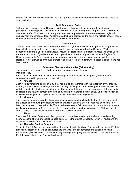earned at Christ For The Nations Institute. CFNI grades always take precedence over courses taken at other institutions.

#### **Audit Grades and Policy**

A student who has paid an audit fee may visit a course; however, there is no privilege of class participation including taking tests and submission of materials to be graded. A grade of "AU" will appear on the student's official transcript for any audit courses. Any extended attendance requires registration and payment of appropriate fees. Auditors are admitted to classes on the basis of available space. Please contact an Enrollment Services Advisor for additional information.

#### **Grade Reports**

CFNI students can access their unofficial transcript through their CAMS student portal. Final grades will be available as soon as they are received from the faculty and entered by the Registrar. While nonpayment of one's CFNI student account results in suspension of a student's access to his/her CFNI transcript or printout of grades, the student is permitted to make an appointment with the Registrar's Office to examine his/her transcript on the computer screen in order to review academic status. The Registrar is not allowed to print out a transcript and give it to any student whose account balance has not been cleared.

#### **Scheduled Classes and Activities (Fall & Spring)**

The following represents the schedule for first and second year students.

#### **Opening Rally**

Each semester CFNI students, staff and faculty gather for a special Opening Rally to start off the semester in worship, prayer and consecration.

#### **1. Chapel**

Each weekday morning begins at 8:00 a.m. with praise and worship, with the exception of Wednesday morning student ministry meetings and one Tuesday morning sectional meeting per month. Students who wish to participate with the worship team must be approved through an audition process. Information is available at the music orientation meeting or by calling the worship ministry office. On occasion, visiting ministers will be given an opportunity to share with the students during chapel.

#### **2. Classes**

Each weekday morning includes three, one-hour class periods for all students. Faculty members teach the classes offered during the first two periods. Details of subjects offered—required or elective—are listed in the current course schedule. The schedule requires a full-time student to be in attendance each weekday morning period (8:00 a.m. until 12:00 noon) and on Tuesday evenings from 7:00 p.m. until the service closes. This includes student ministry and sectional meetings.

#### **3. Music**

The Music Education Department offers group and private lessons during the afternoon and evening hours. Lessons offered are published each semester in the Course Schedule. Tuition for music and arts lessons is published in the Finance Worksheet.

#### **4. Remedial English Program**

Remedial English Classes are required for international students whose English skills are weak. English proficiency assessments will be conducted the first week of each semester and students needing Remedial English will attend classes Thursday evenings during regular semesters. Tuition for Remedial English is published in the Finance Worksheet.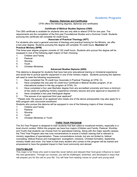# **Academic Programs**

#### **Degrees, Diplomas and Certificates**

CFNI offers the following degrees, diplomas and certificates:

#### **Certificate of Biblical Studies Diploma (CBS)**

The CBS certificate is available for students who are only able to attend CFNI for one year. The requirements are the completion of the first year Foundational Studies and a Summer Credit. Students pursuing this certificate will complete 42 credit hours.

#### **Associate of Practical Theology (APT)**

For students who want a general overview of theology and practical training for the Ministry, we offer a two-year degree. Students pursuing this degree will complete 78 credit hours. **Bachelor of Practical Ministry (BPM)**

This three-year degree program consists of 120 credit hours. Students who pursue this degree will be equipped in one of the following eight majors of their choosing:

- 1. Children and Family
- 2. Pastoral
- 3. Worship
- 4. Youth
- 5. Christian Ministries

#### **Advanced Studies Diploma (ASD)**

This diploma is designed for students that have had prior educational training or ministerial experience and would like to pursue specific equipment in one of the ministry majors. Students pursuing this diploma will need to meet the following requirements:

- 1. Have completed the 78 credit hour Associate in Practical Theology at CFNI. Or,
- 2. Have completed the one-year 42 credit hour Certificate in Biblical Studies program, (If an international student in the day program at CFNI). Or,
- 3. Have completed a four year Bachelor degree from any accredited university and have a minimum of two years of qualifying ministry experience (ministry resume and prior approval is required).Or
- 4. Have completed a two year theological degree
- 5. The spouse of an approved third year applicant\*

\* Please note, the spouse of an applicant who meets one of the above prerequisites may also apply for a ASD program with concurrent enrollment.

Students who pursue this diploma will be equipped in one of the following majors of their choosing:

- 1. Children and Family
- 2. Pastoral
- 3. Worship
- 4. Youth
- 5. Christian Ministries or Youth

#### **THIRD YEAR PROGRAM**

The 3rd Year Program is designed to train students that feel called to vocational ministry, especially in a local church context. Within the program we have four majors (Children and Family, Pastoral, Worship, and Youth) that students can choose from for specialized training. Along with the major specific classes, the Third Year Program also has core concentrations to ensure a holistic training that is relevant to ministry regardless of specialization. These concentrations include, but are not limited to, biblical counseling, biblical finance and management, evangelism, missions, Christian formation, leadership, ministry health and more. Our heart is that every student who comes to this program will be trained and empowered to have the greatest impact in their local community and abroad.

#### **YOUTH MAJOR**

This major is for those who want to lead like never before and steward their God-given influence to reach the next generation. Through our courses, you will be challenged, stretched, and developed in ways that will prepare you for the call on your life. You will hear from leading voices on youth and young adult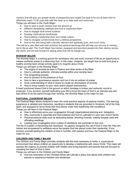ministry that will give you greater levels of perspective and insight.Our goal is for you to learn how to effectively reach 13-30 year-olds with the most up to date tools and resources.

Things you will learn in the Youth Major:

- How to start a youth ministry from the ground up
- Different discipleship methods and how to implement them
- How to engage local school systems
- Develop multicultural mindfulness
- How building a leadership team and create culture
- How to navigate current trends from a biblical perspective.
- How to live with being both culturally relevant and spiritually pure, and much more.

This will be a year filled with both practical and spiritual teachings that will help you not only in ministry, but in life as well. The Youth Major has trained, equipped and launched people into their destiny across the world, and we look forward to seeing what God will do though you.

#### **WORSHIP MAJOR**

The Worship Major is a training ground for worshipers who see every moment of life as an opportunity to release authentic praise to a deserving God. In this major, students are taught how to build and grow a healthy worship team whose primary goal is to magnify Jesus Christ.

Things you will learn in the Worship Major:

- The origins of worship as seen in Psalms and other books of the Bible
- How to cultivate authentic, intimate worship within your worship team
- The songwriting process
- How to practice of the presence of God
- How to take a spontaneous session and turn it into an anthem of praise
- Grow understanding of what it means to create an atmosphere of worship
- How to bring mastery to your voice and/or played instrument(s)

A heart positioned toward God is the ground on which bondage is broken and authentic revival is produced. If you envision yourself dedicating your life to know the heart of God in an intimate way and lead others to do the same through their worship, the Worship Major is the major for you.

#### **PASTORAL LEADERSHIP MAJOR**

The Pastoral Major allows students to learn the most practical aspects of pastoral ministry. This learning experience is detailed and interactive, resulting in students that are grounded in Scripture, full of the Holy Spirit, and equipped to serve those that God places under their leadership with excellence. Things you will learn in the Pastoral Major:

- How to effectively serve your congregation through organizational planning and delegation
- Why community is essential and God-ordained and how to cultivate it in your own church family
- Practical pastoral skills such as dedicating babies, directing funerals, making hospital visits and officiating weddings
- Leading your congregation from a place of obedience and surrender to the Lord.

The life of a pastor is demanding but necessary. As pastors recognize the call of God in their life, they are trained and empowered to selflessly-serve the people God has placed under their leadership. If you envision yourself leading the children of God in humility, with passion and love, the Pastoral Major is the major for you.

#### **CHILDREN AND FAMILY MAJOR**

The Children and Family Major provides students with the tools necessary to foster a supernatural environment that allows children an opportunity to develop a relationship with Jesus Christ. This major will express the urgency to provide children with healthy and loving teachers and parents that are focused on revealing the heart of God to them.

Things you will learn in the Children and Family Major:

● How the restoration of the Christian family will cultivate a place that allows both children and parents to experience freedom and wholeness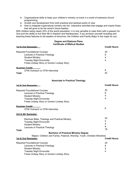- Organizational skills to keep your children's ministry on track in a world of extensive church programming
- Growth and development from both practical and spiritual points of view
- How to integrate supernatural ministry into fun, interactive activities that engage and inspire those that will grow to be the world's future leaders.

With children being nearly 25% of the world population, it is only sensible to raise them with a passion for God and the ability to live their life in freedom and fearlessness. If you envision yourself revealing and teaching these features to the leaders of tomorrow, the Children and Family Major is the major for you.

#### **Degree and Diploma Plans Certificate of Biblical Studies**

| 1st & 2nd Semester:                                                                                                                                                                | <b>Credit Hours</b>     |
|------------------------------------------------------------------------------------------------------------------------------------------------------------------------------------|-------------------------|
| <b>Required Foundational Courses</b><br>Lectures in Practical Theology<br><b>Student Ministry</b><br><b>Tuesday Night Encounter</b><br>Freda Lindsay Story or Gordon Lindsay Story | 20<br>8<br>4<br>4       |
| Summer Credit:<br>CFNI Outreach or CFNI Internship<br>Total                                                                                                                        | 6<br>42                 |
| <b>Associate in Practical Theology</b>                                                                                                                                             |                         |
| <u>1st &amp; 2nd Semester: </u>                                                                                                                                                    | <b>Credit Hours</b>     |
| <b>Required Foundational Courses</b><br>Lectures in Practical Theology<br><b>Student Ministry</b><br><b>Tuesday Night Encounter</b><br>Freda Lindsay Story or Gordon Lindsay Story | 20<br>8<br>4<br>4       |
| <b>Summer Credit:</b><br>CFNI Outreach or CFNI Internship                                                                                                                          | 6                       |
| 3rd & 4th Semester:                                                                                                                                                                |                         |
| Electives Bible, Theology and Practical Ministry<br><b>Tuesday Night Encounter</b><br><b>Student Ministry</b><br>Lectures in Practical Theology                                    | 20<br>4<br>4<br>8<br>78 |
| Total<br><b>Bachelor of Practical Ministry Degree</b>                                                                                                                              |                         |
| Majors: Children and Family, Pastoral, Worship, Youth, Christian Ministries<br>1st & 2nd Semester:                                                                                 | <b>Credit Hours</b>     |
| <b>Required Foundational Courses</b><br>Lectures in Practical Theology<br><b>Student Ministry</b><br><b>Tuesday Night Encounter</b><br>Freda Lindsay Story or Gordon Lindsay Story | 20<br>8<br>4<br>4       |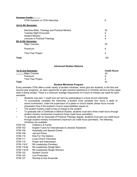| Summer Credit:<br>CFNI Outreach or CFNI Internship                                                                                              | 6                 |
|-------------------------------------------------------------------------------------------------------------------------------------------------|-------------------|
| 3rd & 4th Semester:                                                                                                                             |                   |
| Electives Bible, Theology and Practical Ministry<br><b>Tuesday Night Encounter</b><br><b>Student Ministry</b><br>Lectures in Practical Theology | 20<br>4<br>4<br>8 |
| 5th & 6th Semester:<br><b>Major Courses</b>                                                                                                     | 30                |
| Practicum                                                                                                                                       | 8                 |
| <b>Third Year Project</b>                                                                                                                       | 4                 |
| Total                                                                                                                                           | 120               |

#### **Advanced Studies Diploma**

| 1st & 2nd Semester:       | <b>Credit Hours</b> |
|---------------------------|---------------------|
| <b>Major Courses</b>      | 30                  |
| Practicum                 |                     |
| <b>Third Year Project</b> |                     |
| Total                     | 42                  |

#### **Student Ministries Program**

Every semester CFNI offers a wide variety of student ministries, which give the students, in the first and second year programs, an open opportunity to gain practical experience in Christian service as they apply what is being studied. There is a minimum average requirement of 4 hours of ministry per week for each semester.

- Students may earn 1 credit hour per term by participating in a local church internship.
- To successfully complete the internship, a student must complete four hours a week of active involvement under the supervision of a pastor or church leader (these hours include preparation time if the student's church responsibilities require it).
- The student ministry credit is free of charge to the student.
- To graduate with a Certificate in Biblical Studies, students must earn three credit hours through student ministry involvement (maximum three credit hours permitted).
- To graduate with an Associate of Practical Theology degree, students must earn six credit hours through student ministry involvement (maximum six credit hours permitted). The following
- ministries are available:<br>STM-102 Children's & Far Children's & Family
- STM-103 English Tutors for Internationals & Librarian Assistants
- STM-105 Hospitality and Special Events
- STM-108 Jail and Prison
- STM-110 Kids For The Nations
- STM-111 Local Church Internship
- STM-115 Prayer and Intercession
- STM-116-F RA Leadership (Families)
- STM-116-M RA Leadership (Single Men)
- STM-116-W RA Leadership (Single Women)
- STM-122 Student Council
- STM-124 Live Production
- STM-127 Worship & Arts Ensemble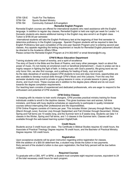#### STM-128-E Youth For The Nations

STM-154 Sports Student Ministry

STM-164 Community Outreach & Evangelism

#### **Remedial English Program**

Remedial English courses are offered for international students who need assistance with the English language. In addition to regular day classes, Remedial English is held one night per week for Levels 1-4. Domestic students who desire additional training in the English may also enroll in an English class. Tuition is \$190.00 per semester.

International students will take the English Proficiency test at the beginning of their first semester to determine proficiency in the English Language. Spanish Program students will be required to take the English Proficiency test upon completion of the one-year Spanish Program prior to entering second year classes. Any appeals regarding the testing requirement or results for Remedial English placement should be directed to the Academic Affairs Office.

Please contact the Remedial English Program at 214-302-6457 or email librarian@cfni.org.

#### **CFNI'S Music Education Department**

Training students with a heart of worship, and a spirit of excellence

The story of David in the Bible and the Book of Psalms, and many other passages, teach us about the power of music. It's not merely an emotional crutch or beneficial entertainment – music in praise can be a mighty weapon in fighting the fight of faith. In linking music with God's powerful, life-giving word we not only honor Him, we also find courage, and a pathway for healing of body, soul and spirit.

As the daily disciplines of worship prepare CFNI students to love and obey God more, opportunities are also available to develop musical skills through CFNI's Music and Arts Lessons. From the very first semester students may enroll in private or group lessons in voice, or private lessons in piano, guitar, drums, and much more. These courses are in addition to the degree plans offered and do not count towards the degree completion requirements.

Our teaching team consists of experienced and dedicated professionals, who are eager to respond to the enthusiasm and potential of CFNI students.

#### **CFNI Online Classes**

In keeping with its mission to train world changers, CFNI provides practical ministry training for those individuals unable to enroll in the daytime classes. This gives business men and women, full-time ministers, and those with busy daytime schedules an opportunity to participate in quality ministerial courses without interrupting their professional and life responsibilities.

CFNI Online Program consists of 4 terms per year. This includes Winter (January through March), Spring (March through June), Summer (July through September) and Fall (October through December). Winter, Spring and Fall terms are 10 weeks long, and the Summer term is 8 weeks long. Students can take 1-4 classes in the Winter, Spring and Fall terms, and 1-3 classes in the Summer term. Classes will be available through the web-based learning system DigitalChalk.

#### **Credit Hours**

Students accrue 3 credit hours per class. The Certificate in Biblical Studies requires 42 credit hours, the Associate of Practical Theology Degree requires 78 credit hours, and the Bachelor of Practical Ministry Degree requires 120 credit hours.

#### **Registration**

Upon acceptance students will be given instruction regarding online registration for classes. With the addition of a \$50.00 deferment fee, a student may divide the tuition in two payments. Sixty percent of the student's tuition is due upon registration; the final forty percent will be due before midterms.

#### **Required Courses**

To graduate with a CBS, APT or BPM, a student must complete eight required courses, equivalent to 24 of the total necessary credit hours for each program.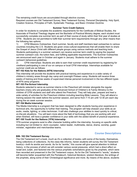The remaining credit hours are accumulated through elective courses.

Required courses are Old Testament Survey, New Testament Survey, Personal Discipleship, Holy Spirit, Creation Science, Principles of Faith, Systematic Theology, and Basic Christian Doctrine.

#### **Summer Term Credit Options**

In order for students to complete the academic requirements for the Certificate of Biblical Studies, the Associate of Practical Theology degree and the Bachelor of Practical Ministry degree, each student must successfully complete one summer term as part of their course of study within their first year of studies at CFNI. Students are not permitted to fulfill their summer term requirements through any other means than the following two options:

1) CFNI Missions Outreaches: Each summer, faculty and staff members lead outreaches to various countries including the U.S. Students are given cross-cultural experiences that will enable them to share the Gospel of Jesus Christ with different people groups using various methods and teaching tools. Students participating in a summer outreach can receive summer term credit by paying the required summer outreach cost, the tuition fees, and fulfilling applicable requirements. The Summer Outreaches are announced each year in October and again in January. Students must adhere to the summer outreach behavioral guidelines.

2) CFNI Internships: Students are able to earn their summer credit requirement by registering for creditand participating in one of our on campus or local CFNI internships. Internships available for summer credit are as follows:

#### **INT-102 Kids for the Nations (KFN) Internship**

This internship will provide the students with practical training and experience in a wide variety of children's ministry areas through day camp and overnight Preteen camp. Students will receive three weeks of training and three weeks of supervised intense personal involvement in the two different types of KFN camp programs.

#### **INT-103 Pre-School Internship**

Students selected to serve as summer interns in the Preschool will minister alongside the regular teachers (many who are graduates of the Advanced School of Children's & Family Ministry) to the children of CFNI students and staff who attend the Preschool. They will help plan, prepare and lead a wide variety of activities for the Preschool children including teaching Bible Lessons. They will attend a training session the week before the summer session, and serve from 7:15 am until 12:30 pm each day during the six week summer session.

#### **INT-104 Media Internship**

The Media Internship is a program that has been designed to offer students having prior experience in technical arts, the opportunity to further their training. The program will help sharpen your skills as an audio, media, lighting, or video technician. It will also challenge your abilities to react quickly to critical, on-the-job situations. You will learn more about the field of technology that you are working with and when finished, will have a greater confidence in your skills with the added benefit of practical experience. **INT-105 Youth for the Nations (YFN) Internship**

YFN summer programs exist to offer character building within the internship, focusing on specific skills including but not limited to: dorm counselor, nation leader, multimedia, dance, drama, worship, guest minister, registration and merchandise teams.

## **Course Descriptions**

#### **BIB- 102 Old Testament Survey**

The Old Testament isn't a book, much as it's a collection of books--with some of the books, themselves, being collections of collections. As the class title informs, herein students will survey the Old Testament book(s)—*both* its worlds and words. As for its "worlds," this course will give special attention to biblical history, in the process of which we will consider various social pressures, which had a direct effect on Israel and Judah, and factored into the various prophetic exhortations given by the prophets, which were then recorded and preserved in the Old Testament corpus. As for the Old Testament's "words," students will become better acquainted with the Pentateuch, historical literature, wisdom literature, the writings of the prophets, along some of their Christological significance and more. By means of the above, students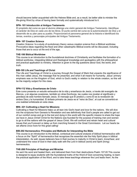should become better acquainted with the Hebrew Bible and, as a result, be better able to minister the life-giving Word by virtue of having been formally and systematically introduced to it.

#### **SPN- 101 Introducción al Antiguo Testamento**

El propósito del curso es que el alumno obtenga una visión general del Antiguo Testamento. Identifique el carácter de Dios en cada uno de los libros. El punto central del curso es la autorrevelación de Dios y el desarrollo de su plan para su pueblo. Proporcionará el panorama general de la historia e identificará los temas, eventos y personajes principales del Antiguo Testamento.

#### **MIN- 107 Creation Science**

*Creation Science I* is a study of evolutionary theory versus creation science from a Biblical worldview. Provocative ideas regarding the flood and other catastrophic Biblical events will be discussed, including those that are to occur at the end of the age**.**

#### **THE-106 Biblical Worldview**

This course is an introduction to the foundational doctrines of Christianity and facilitates the formation of a biblical worldview, integrating biblical and theological knowledge and apologetics with the philosophical and practical application to ministry. Attention is given to the big questions about God, the world, and truth.

#### **BIB-105 Life and Teachings of Christ**

The Life and Teachings of Christ is a journey through the Gospel of Mark that unpacks the significance of this man called Jesus, the message that he preached, and what it all means for humanity. Jesus' primary emphasis was on the Kingdom of God, which is God's reality in relation to the whole creation, so this will be the majority subject for this class.

#### **SPN-112 Vida y Enseñanzas de Cristo**

Este curso presenta un estudio exhaustivo de la vida y enseñanza de Jesús, a través del evangelio de Marcos, y en algunas ocasiones, también en otras Escrituras, las cuales nos revelan el significado y grandeza de este hombre llamado Jesús. El mensaje que Él predicó y como Él es la revelación de ambos Dios y la humanidad. El énfasis primario de Jesús es el "reino de Dios", el cual se convertirá en una realidad enfatizada en esta clase.

#### **MIN- 221 Cultivating a Heart for Missions**

Cultivating a Heart for Missions helps us all lean into God's heart and love for the nations. We will dive into the scriptures from Genesis to Revelation and see definitively that God's people are called to get out of our comfort zones and go to the lost and dying in this world with the specific mission to share the hope we have in Jesus Christ! Christ for the Nations was founded for the purpose of training men and women to go to all the nations with the gospel of Jesus Christ. We will confront and retrain heart and cultural issues that you'll prevent or delay us from marching forward in the Great Commission. Let our hearts be set aflame once more for this great calling!

#### **BIB-202 Hermeneutics: Principles and Methods for Interpreting the Bible**

This course is an introduction to the biblical, contextual and cultural analysis of biblical hermeneutics with a focus on the "Spirit" of hermeneutics that recognizes the essential role the Holy Spirit plays in biblical interpretation. As well, issues believers face in their journey to maturity in Christ to learn, know/hear, and understand the voice of God in their daily walk with the Lord in biblical (word) and Spirit (living) hermeneutics.

#### **THE-208 Principles of Healings and Miracles**

He sent His word and healed them, and delivered them from their destructions.Psalm 107:20 This course is designed to equip students with the foundational truths of the Word of God concerning healing, to learn the practical application of the Word, and to take these teachings wherever the Lord leads them. As the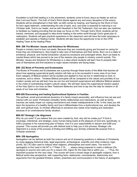foundation is built that healing is in the atonement, students come to know Jesus as Healer as well as their Lord and Savior. The truth of God's Word stands against any and every deception of the enemy. Students will be strengthened in their faith; as faith comes by hearing, and hearing by the Word of God. As born again believers, understanding the role of spirit, soul, and body is essential to maturing in our Christian walk. God is our healer, and as with Hezekiah in the Old Testament, God can also use medicine to facilitate our healing providing that we keep our focus on Him. Through God's Word, students will be trained, mentored, and equipped to take divine healing to the entire world through God's great plan of redemption. Students will gain practical experience in the classroom and will have the tools necessary to establish and operate a Healing Center. Students will also have the opportunity to be on the CFNI Healing Team at the Healing Place.

#### **MIN- 298 The Minister: Issues and Solutions for Wholeness**

People in ministry tend to burn out easily. Because they are constantly giving and focused on caring for those they are ministering to, they forget to take care of themselves and their family. Burn out is a state of emotional, physical, and mental exhaustion caused by excessive and prolonged stress. Burn out leads to mental illness which has proved to be one of the reasons why people in ministry commit suicide. The Minister: Issues and Solutions for Wholeness is a class where students will learn how to properly take care of themselves and find solutions to major issues ministers are facing today.

#### **BIB- 222 Book of Proverbs and Ecclesiastes**

The Books of Proverbs and Ecclesiastes are a journey through these books of the Bible that teaches all about how applying supernatural godly wisdom will help us to be successful in every area of our lives. Each category of Biblical wisdom will be studied and applied to how we live in relationship to God, to ourselves, and to others. Timeless Biblical principles will be compared to the values and priorities of our modern society and we will learn how we can live and transmit supernatural and effective Biblical wisdom in the midst of contradicting modern cultural values. We will learn about the supernatural wisdom aspect of the Holy Spirit in our lives as New Testament Believers and how to tap into His help for wisdom in all areas of our lives and ministries.

#### **MIN-209 Discovering and healing Dysfunctional Systems in Families**

The spiritual, social and emotional dynamics of a family impact personality, and influence how we see and interact with our world. Protracted unhealthy family relationships and interactions, as well as family traumas can easily impair our coping mechanisms and create maladjustments in life. In this class you will learn the dynamics of a healthy family and how it differentiates from a dysfunctional one, and develop the skill, and spiritual tools, to minister effectively to someone who needs inner healing and restoration because of an unwholesome family situation.

#### **MIN-207 Strategic Life Alignment**

Why do you exist? If you believe that you were created by God, why did he create you? If God is sovereign, intentional, and strategic, every human being exists at the pleasure of God and, specifically, to fulfill a purpose in his overarching plan of history. And it is your responsibility to discern and fulfill your purpose. This course will provide you with biblical tools to help you in this process. Strategic Life Alignment is a study of the process of finding and fulfilling your divinely ordained life purpose from a Christian worldview.

#### **MIN- 259 Apologetics**

Apologetics can be defined as both the *science* and *art* of answering questions in defense of Christianity by using reasons (historical data, legal arguments, archeological, scientific and other evidence, logic, proofs, etc.) It's also used to critique other religions, philosophies and world views. The word for apologetics is first used in the NT in 1st Peter 3:15, ……*always being prepared to make a defense* (Gk. *apologia*) *to anyone who asks you for a reason* (Gk. *logos*) *for the hope that is within you…..."* Thus, the important purpose for this very class. This course will cover a broad range of apologetic subjects, from a Biblical world-view perspective, with supporting facts, statements, commentaries, testimonies and arguments from the greatest thinkers, writers, preachers and communicators in the history of apologetics.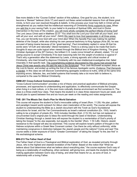See more details in the "Course Outline" section of this syllabus. One goal for you, the student, is to become a "Berean'' believer (Acts 17) and search out these varied evidential reasons from all these great minds, to form your own resolved thoughts & beliefs. In this process your most holy faith in Christ will be strengthened as you realize that the intellectual reasoning of Christianity firmly supports its case. When you add this to your saving Faith, to your belief in & practice of Spiritual Gifts, and trust in Divine intervention in the lives of His creation, you will more wholly complete the perfect trifecta of loving God! The Lord Jesus Christ said in Matthew 22:37 "*You shall love the Lord your God with all your heart, and with all your soul, and with all your mind".* (NAS) We need to love God passionately in all three areas. Yes, you can fervently love God with your mind also! When the Apostle Paul was making his spirited defense of the Gospel, while also sharing his own personal testimony to King Agrippa (Acts 26), he was accused of being insane because of his "great learning". Paul immediately replied in verse 26 that his words were "of truth and rationality" (literal translation). There is a strong case to be made that God's thoughts & ways are quite logical when viewed through the Biblical lens of Kingdom thinking. The great Christian Apologist of the 20th Century, the brilliant C.S. Lewis (once himself an atheist), stated, "*I'm not asking anyone to accept Christianity if his best reasoning tells him the weight of evidence is against it".*  That's why a generation after this statement by Lewis, a strong agnostic and critical mocker of Christianity, who tried himself to disprove Christianity with his own intellectual-investigative trial, failed miserably in that specific task. The overwhelming evidence discovered by this young man proved that Jesus Christ was exactly who He said He was in the Scriptures! Thus Josh McDowell accepted Jesus as His Lord & Savior, and ended up writing the first of his famous Apologetic works: *Evidence That Demands a Verdict*. In this class we will discover overwhelming apologetic evidence & truths, while at the same time exposing errors, fallacies, lies, and belief systems that honestly take a lot more faith to believe in, compared to the case for Biblical Christianity.

#### **GMM-201 Cross-Cultural Communication**

"Cross-Cultural Communication" provides a mix of theory and practical application of Biblical principles, processes, and approaches to understanding and application, to effectively communicate the Gospel when living in a host culture, or in the ever more culturally diverse environment we find ourselves in. The class is a three-credit-hour class. That means the student is in class three classroom hours per week, and should plan to spend between five and six hours per week on the reading and notes assignments.

#### **THE- 201 The Missio Dei: God's Plan for World Salvation**

This course will expose the student to God's irrevocable calling of Israel (Rom. 11:29): His plan, pattern and paradigm toward world outreach for *tikkun olam* (restoration of the world). The course will expose the student to understanding the Bible as a Jewish document with the Torah as God's foundational instructions for Israel, and the Ten Commandments as Israel's national constitution (Ex. 19:6). Israel's calling to be a kingdom of priests (Ex. 19:6) includes Gentiles (Eph. 2:15-16), but has not replaced or circumvented God's original plan to bless the world through the seed of Abraham. Understanding Christian theology through a Jewish lens will expose the student to a reorientation of God's priority of taking the Gospel "to the Jew especially, but equally to the Gentile" (Rom. 1:16 CJB). Historic Jewish resistance to the Gospel will also be examined. This course will explore Israel's pattern of thought in the Hebrew scriptures within a Greek New Covenant context. Can there be unity without uniformity, while maintaining congruence in distinction between the Jewish people and the nations? Come and see! This course seeks a wider exposure of God's "Greater Commission" of taking the Gospel "to the Jew first" in His eschatological scheme.

#### **MIN-213 The Father Heart of God**

The Father Heart of God is a Theological and Biblical exploration of God, as revealed primarily through Jesus, who is the highest and clearest revelation of the Father. Based on the notion that "What we believe about God determines what we believe about everything else," the course explores God's way of being as a relationality of overflowing, other-centered, self-giving love, and leads the students through making application between God's way of being, and what that means for us, as sons of God, in relationship with a loving Father.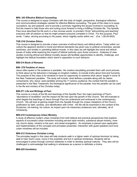#### **MIN- 243 Effective Biblical Counseling**

This course is designed to equip Christians with the tools of insight, perspective, theological reflection, and communications strategies needed for effective Biblical counseling. The goal of this class is to equip counselors, lay and pastoral, and to provide a summary regarding the issues involved in counseling; to find the means to help those who are hurting move forward in living a fulfilling Christian life. The Apostle Paul once described his life work in a few concise words: to proclaim Christ "admonishing and teaching" everyone with all wisdom so that he might present everyone complete in Christ. For this purpose, Paul wrote, "I labor, striving according to His power, which mightily works within me." (Col. 1:28-29 NAS)

#### **THE-218 Christian Ethics**

This course is designed to provide a basic overview of ethical theory and biblical ethics. Today within our culture the apparent decline in moral and ethical standards has given way to political correctness, secular worldview, and timidity in upholding biblical morals. In this class we will highlight the moral and ethical issues of today while exploring the impact of biblical authority upon those concerns. Analyses of case studies involving ethical and biblical morality issues will facilitate opportunities to identify, challenge, and highlight the biblical foundation which stand in opposition to such behavior.

#### **BIB-214 Book of Romans**

#### **BIB- 276 Parables of Jesus**

Jesus often spoke to His audience in parables. His creative storytelling provided them with word pictures to think about as He delivered a message on kingdom matters, to include truths about God and humanity. The purpose of this class is for students to have an opportunity to examine what Jesus' taught in some of the New Testament parables. The study will include: what defines a parable along with its classic components; why Jesus' used parables among His 1<sup>st</sup>-century audience; the context that the parable is presented in the New Testament; the theological significance of the parable; how the parable can be used in the life and ministry of the Christian today.

#### **BIB-271 Life and Writings of Paul**

This course is a study of the life and teachings of the Apostle Paul; the major teachings of Paul's "abundance of revelation" and the impact his life had upon the growth of the Church. We will evaluate to what degree the teachings of Jesus through Paul are understood and embraced in the contemporary Church. We will look at gaining insight from the Apostle through his unique metaphors of the Church, justification by faith, sonship, and identification with Christ. His life will be examined in the context of the Scriptures, his training, his culture, its impact upon his missionary endeavors and, ultimately, all of Christianity.

#### **MIN-210 Contemporary Urban Ministry**

A study of effective modern urban ministries from both biblical and practical perspectives that explains aspects of successful urban ministries including servant style ministry, substance abuse ministry, inner city church styles, ministry to the poor, and street evangelism. An emphasis is placed upon application and implementation of the concepts and principles presented. Interaction with guest speakers and local urban ministries will be included.

#### **MIN-212 Victorious Christian Living**

The principles taught in this class will help students walk in a higher realm of spiritual dominion by being able to hear God's voice, move in the prophetic and live in spiritual wholeness. Students will be encouraged to press through common obstacles in order to develop spiritual maturity. They also will be challenged to acknowledge that walking in wholeness as a person is definitely a choice.

#### **MIN-225 Homiletics**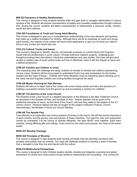#### **MIN-223 Dynamics of Healthy Relationships**

This course is designed to help students develop skills and gain tools to navigate relationships in various spheres of life. Students will explore characteristics of healthy and unhealthy relationships through a biblical lens. During the course, students will define characteristics of relationships in personal, family, ministry, social and work spheres.

#### **YOU-305 Foundations of Youth and Young Adult Ministry**

This course is designed to give you a comprehensive understanding of the core elements and systems that make up a healthy foundation for ministry. Although there will be an emphasis on youth and young adult ministry, the majority of the content will have broad applications to give you the tools you need to thrive in any context you would step into.

#### **YOU-312 Cultural Trends and Issues**

This course is designed to identify, discuss, and educate ourselves on current trends and long-term issues that are predominant in youth culture. Through extensive research projects, challenging and thought-provoking class discussions, interactive presentations and case studies, this class will give each student a realistic view of youth culture today and how to effectively reach it with the Gospel of Jesus and a biblical perspective

#### **CFM-337 Families and Children in Crisis**

This impacting class will challenge and equip students to minister to families and children experiencing various crises. Students will be encouraged to understand God's love and compassion for the broken hearted and the "least of these". Children and Family Ministers must be intentional about reaching out to the many lost and forgotten children and hurting families throughout the world.

#### **CFM-329 Master Planning for Kids Ministry**

Students will take an in-depth look at the unique role of the ministry leader and learn the dynamics of building a successful ministry from the ground up and succeeding in ministry for a lifetime.

#### **LPM-347 The Doctrine of the Local Church**

The Doctrine of the Local Church is a detailed description of the Ekklesia in the New Testament Church, as described in the Epistles of Paul, and the Book of Acts. Special attention will be given to the leadership principles of Jesus, as the Head of the Church, and how they relate to the leaders of the 21<sup>st</sup> century church. Practical classes will also be taught on the subject of Ministry Protocol, Church Administration, the Minister's Family and Church Planting

#### **LPM-349 The Apostle Paul**

Team Ministry is an exploration into various aspects of ministry in the church. We will discuss the importance of each ministry and the primary role and function of these ministries. The need for unity and cooperation cannot be overstated. For the church to operate efficiently, the team MUST work together. Each team member, having differing gifts and callings, must commit to one vision and purpose; the vision of the senior leader.

#### **WOR-301 Worship Theology**

#### **WOR-303 Principles of Worship**

This course is designed to help students build worship principles that will ultimately transform both privately and publicly how we worship. The class will challenge students to develop a heart of worship that is revealed in how they live and interact with the culture.

#### **BCM-319 Multicultural Perspectives**

This course is designed to help Christian leaders identify, develop and integrate a personal and global awareness of cultural and cross-cultural issues related to relationships and counseling. This course will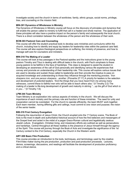investigate society and the church in terms of worldview, family, ethnic groups, social norms, privilege, bias, and counseling on the mission field.

#### **MIN-301 Dynamics of Wholeness in Ministry**

The Dynamics of Wholeness in Ministry course will focus on the discovery of principles and dynamics that will enable the person called to ministry to fulfill that call in a healed and whole manner. The application of these principles will also have a positive impact on the person's family and subsequently the local church. There is a direct correlation between the wholeness of the person and the wholeness of their work.

#### **BCM-303 Pastoral Care and Counseling**

This course will offer the student practical tools to develop care ministries and curriculums within the church, including how to identify and equip lay leaders for leadership roles within the pastoral care field. The course will also explore theological perspectives on suffering, the ministry of presence, and how to manage self-care for counselors and ministers.

#### **MIN-318 The Making of a Leader**

This course will look at key passages in the Pastoral epistles and the instructions given to the young pastors Timothy and Titus in dealing with difficult tasks in the church, with Paul's emphasis to these young pastors to be faithful in the face of hardships. This class is designed to assist the student in developing an awareness of the call of God personally and identifying various life experiences that convey and promote an understanding of their leadership role. This course will explore various issues that are used to develop and sustain those called to leadership and then provide the impetus to pass on acquired knowledge and understanding to those they influence through the mentoring process. *"Iron sharpens iron, and one person sharpens…another.* (Proverbs 27:17) A priority for leaders is the selection and development of *potentia*l leaders. *"And the things that you have heard from me among many witnesses, commit these to faithful men who will be able to teach others also."* (II Timothy 2:2) The making of a leader is life-long development of growth and maturity in stirring *"…up the gift of God which is in you…"* (II Timothy 1:6)

#### **LPM-344 Team Ministry**

Team Ministry is an exploration into various aspects of ministry in the church. We will discuss the importance of each ministry and the primary role and function of these ministries. The need for unity and cooperation cannot be overstated. For the church to operate efficiently, the team MUST work together. Each team member, having differing gifts and callings, must commit to one vision and purpose; the vision of the senior leader.

#### **BIB-319 First Century Evangelism**

Following the resurrection of Jesus Christ, the Church erupted onto the 1st Century scene. The Book of Acts is the most in-depth and authoritative historical account of how the first believers and messengers of the Gospel lived and acted in the midst of a pagan Greco-Roman cultural and legalistically zealous Jewish culture. Evangelism, Christian living, and missionary efforts are outlined as well as persecutions and hardships. Central throughout all these realities is the presence of Jesus himself through the agency of the Spirit. This course will journey through the Book of Acts and investigate the significance of the 1st Century context to the 21st Century, especially the Church in the Western world.

#### **ART-309 Basic Film Production**

This course provides an introduction to the tools, techniques, and terminology used by the creative Film/Video maker during the pre production, production and post-production processes. Lectures, demos, screenings, discussions, and readings will facilitate the development of production proficiency and a critical stance.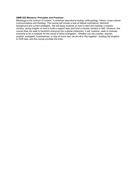#### **GMM-352 Missions: Principles and Practices**

Missiology is the science of mission. It combines intercultural studies, anthropology, history, cross-cultural communications and theology. This course will include a look at biblical motivations, historical background and current strategies. We will equip students on how to start and maintain a mission ministry, giving insights on how to build a support team and fund a mission ministry in faith. However, this course does not seek to transform everyone into a global missionary. It will, however, seek to motivate everyone to be a mobilizer for the cause of world evangelism. Whether you are a pastor, teacher, prophet, evangelist, businessman, or stay at home dad, we are all in this together—building His kingdom is OUR task, and this course provides the tools.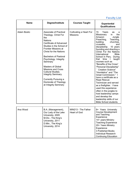# **Faculty List**

| <b>Name</b>        | Degree/Institute                                                                                                                                                                                                                                                                                                                                                                                                                                                 | <b>Courses Taught</b>                      | <b>Experiential</b><br><b>Qualifications</b>                                                                                                                                                                                                                                                                                                                                                                                                                                                                                                                                                                                                                                                                                                 |
|--------------------|------------------------------------------------------------------------------------------------------------------------------------------------------------------------------------------------------------------------------------------------------------------------------------------------------------------------------------------------------------------------------------------------------------------------------------------------------------------|--------------------------------------------|----------------------------------------------------------------------------------------------------------------------------------------------------------------------------------------------------------------------------------------------------------------------------------------------------------------------------------------------------------------------------------------------------------------------------------------------------------------------------------------------------------------------------------------------------------------------------------------------------------------------------------------------------------------------------------------------------------------------------------------------|
| <b>Adam Bostic</b> | <b>Associate of Practical</b><br>Theology. Christ For<br>the<br><b>Nations</b><br>Certificate of Advanced<br>Studies in the School of<br><b>Frontier Missions at</b><br><b>Christ for the Nations</b><br><b>Bachelors of Pastoral</b><br>Psychology. Integrity<br>Seminary<br><b>Masters of Global</b><br><b>Missions and Cross</b><br><b>Cultural Studies.</b><br>Integrity Seminary.<br>Currently Pursuing a<br>Doctorate of Theology<br>at Integrity Seminary | Cultivating a Heart For<br><b>Missions</b> | 15<br>Years<br>as<br>а<br>the<br>Missionary<br>in.<br>Amazon<br>Jungle.<br>Teaching,<br>Preaching,<br>building<br>churches,<br>crusades,<br>and<br>discipleship.<br>10 years<br>founding and directing a<br>Christ For the Nations<br>International<br><b>Bible</b><br>School in Peru. During<br>time<br>taught<br>that<br>$\Box$<br>courses such as<br>"Benefits of the Cross"<br>"Personal Discipleship"<br>"Creation Science"<br>"Homiletics" and "The<br>Great Commission." I<br>have a certificate as a<br>Rope Rescue<br>Technician and served<br>as a firefighter. I have<br>used this experience<br>often in the jungles to<br>host leadership camps<br>and develop the<br>leadership skills of our<br><b>Bible School students.</b> |
|                    |                                                                                                                                                                                                                                                                                                                                                                                                                                                                  |                                            |                                                                                                                                                                                                                                                                                                                                                                                                                                                                                                                                                                                                                                                                                                                                              |
| Ana Wood           | B.A. (Management),<br>Our Lady of the Lake<br>University, 2005<br>M.Div., The King's<br>University, 2011<br>D.Min., The King's<br>University, 2014                                                                                                                                                                                                                                                                                                               | MIN213 - The Father<br><b>Heart of God</b> | 8+ Years University<br><b>Course Development</b><br>and Teaching<br>Experience<br>14+ years Ministry<br><b>Teaching Experience</b><br>20+ Years Ministry<br>Experience<br>3 Published Books<br><b>Individual Research</b><br><b>Continuing Education</b>                                                                                                                                                                                                                                                                                                                                                                                                                                                                                     |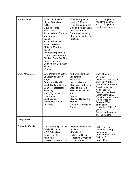| <b>Andrew Brown</b>   | Ed.D. Candidate in<br><b>Higher Education</b><br>(ORU)<br>M.Ed. in Higher<br>Education<br>Advanced Certificate in<br>Management<br>(DBU)<br><b>B.A.S in Business</b><br>Administration &<br><b>Christian Ministry</b><br>(DBU)<br>Advanced Diploma in<br>Leadership & Pastoral<br>Studies (Christ For The<br>Nations Institute)<br>Certificate in Computer<br><b>Studies</b><br>(Comtac) | - The Principles of<br>Healing & Miracles<br>- The Theology of the<br>Gifts of the Holy Spirit<br>- Basic & Advanced<br><b>Christian Counseling</b><br>- Essential Leadership<br>Principles                                                           | 18 years of<br>ministryexperience<br>22 years of<br>teachingexperience                                                                                                                                                                                                                                                                                           |
|-----------------------|------------------------------------------------------------------------------------------------------------------------------------------------------------------------------------------------------------------------------------------------------------------------------------------------------------------------------------------------------------------------------------------|-------------------------------------------------------------------------------------------------------------------------------------------------------------------------------------------------------------------------------------------------------|------------------------------------------------------------------------------------------------------------------------------------------------------------------------------------------------------------------------------------------------------------------------------------------------------------------------------------------------------------------|
| <b>Bryan McLemore</b> | B.A. (Pastoral Ministry)<br>University of Valley<br>Forge<br>Certificate (High Risk<br>Youth Studies) Gordon<br>Conwell Theological<br>Seminary<br>M.A. (Organizational<br>Leadership)<br>Southwestern<br>Assemblies of God<br>University                                                                                                                                                | <b>Authentic Manhood</b><br>Leadership<br><b>Essentials</b><br>Intro to Missions<br>Missional Leadership<br>Steps to the Field<br><b>Missions Principles</b><br>and<br>Practices<br>Missions History and<br>Trends<br>Life and Teachings of<br>Christ | Dean of Men<br>2010-2017<br>Global Missions major<br>Chair 2017-2020<br>Director of Leadership<br>Development for<br><b>AFairchild PC</b><br><b>Founder Next Level</b><br>Renovations LLC.<br><b>Construction Company</b><br><b>Global Passion</b><br>Orgtook 3000<br>participants<br>to missions field in 5<br>years<br>Travel and taught in<br>over 20 nations |
| <b>Cheryl Parks</b>   |                                                                                                                                                                                                                                                                                                                                                                                          |                                                                                                                                                                                                                                                       |                                                                                                                                                                                                                                                                                                                                                                  |
| Connie McKenzie       | MA- Leadership, Dallas<br><b>Baptist University</b><br>- B.S Education<br>(University of<br>Kentucky)<br>- Associate in Practical                                                                                                                                                                                                                                                        | - Master Planning for<br>Leaders<br>- Families &<br>Children in Crisis<br>- Teaching Dynamics<br>- Transformational                                                                                                                                   | $-30 + \text{years of}$<br>ministry/teaching<br>experience<br>Launched and Direct<br>Children &<br><b>Family Major</b>                                                                                                                                                                                                                                           |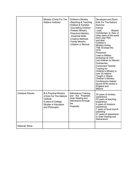|                          | Ministry (Christ For The<br>Nations Institute)                                                                                               | Children's Ministry<br>-Reaching & Teaching<br><b>Children &amp; Families</b><br>-Counseling Children<br>-Preteen Ministry<br>-Preschool Ministry<br>- Essential Skills<br>-Creative Methods<br>-Family Ministry<br>-Children in Revival | Developed and Direct<br><b>Kids For The Nations</b><br>Summer<br>Camps<br>Lead<br><b>Mission</b><br>Outreaches to Asia or<br>other parts of the world<br>each year Plan<br>and lead<br>Children's<br>Ministry during<br>TNE Oversee the<br><b>CFN</b><br>Preschool<br>Lead a children<br>workshop at VOH<br>Led children on Mission<br>Outreaches<br><b>Conducted Teacher</b><br>Training for<br>Children's Ministry in<br>over 25 nations<br>Taught in Global<br>Children's Ministry<br><b>Conferences Helped</b><br>launch KFN camps in<br>England and<br>Mexico |
|--------------------------|----------------------------------------------------------------------------------------------------------------------------------------------|------------------------------------------------------------------------------------------------------------------------------------------------------------------------------------------------------------------------------------------|--------------------------------------------------------------------------------------------------------------------------------------------------------------------------------------------------------------------------------------------------------------------------------------------------------------------------------------------------------------------------------------------------------------------------------------------------------------------------------------------------------------------------------------------------------------------|
| <b>Cristiane Peixoto</b> | <b>B.A Practical Ministry</b><br>(Christ For The Nations<br>Institute<br>9 years of College<br><b>Studies in Education</b><br>and Philosophy | <b>Deliverance Training</b><br>and the Prophetic<br>Inner Healing and<br>Deliverance through<br>the<br>Prophetic                                                                                                                         | 24 years of ministry<br>experience<br>23 years of teaching<br>experience<br>4 years of missions<br>experience<br>7 years of local church<br>pastoring<br>21 years of experience<br>in Inner Healing and<br>Deliverance                                                                                                                                                                                                                                                                                                                                             |
| Deborah Stone            |                                                                                                                                              |                                                                                                                                                                                                                                          |                                                                                                                                                                                                                                                                                                                                                                                                                                                                                                                                                                    |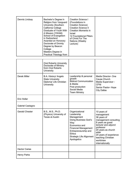| Dennis Lindsay        | Bachelor's Degree in<br>Religion from Vanguard<br>University (Southern<br>California College<br>Graduate of Youth With<br>A Mission (YWAM)<br>School of Evangelism<br>in Switzerland<br>Awarded an Honorary<br>Doctorate of Divinity<br>Degree by Beacon<br>College<br>Masters Degree in<br>Practical Theology from | <b>Creation Science I</b><br>(Foundations in<br>Creation Science)<br><b>Creation Science II</b><br><b>Creation Moments in</b><br><b>Israel</b><br>12 Foundational Pillars<br>of Christ For The<br>Nations (Weekly<br>Lecture) |                                                                                                                                                                                                                                           |
|-----------------------|---------------------------------------------------------------------------------------------------------------------------------------------------------------------------------------------------------------------------------------------------------------------------------------------------------------------|-------------------------------------------------------------------------------------------------------------------------------------------------------------------------------------------------------------------------------|-------------------------------------------------------------------------------------------------------------------------------------------------------------------------------------------------------------------------------------------|
|                       |                                                                                                                                                                                                                                                                                                                     |                                                                                                                                                                                                                               |                                                                                                                                                                                                                                           |
|                       | <b>Oral Roberts University</b><br>Doctorate of Ministry<br>from Oral Roberts<br>University                                                                                                                                                                                                                          |                                                                                                                                                                                                                               |                                                                                                                                                                                                                                           |
| <b>Derek Miller</b>   | B.A. History/ Angelo<br><b>State University</b><br>Diploma/ Life Christian<br>University                                                                                                                                                                                                                            | Leadership & personal<br>growth<br><b>Biblical Communication</b><br>& Media<br>Post production<br>Social Media<br><b>Team Ministry</b>                                                                                        | Media Director- One<br>Cause Church<br>Media Supervisor -<br><b>CFNI</b><br>Senior Pastor- Hope<br><b>City Dallas</b>                                                                                                                     |
| Eric Hollar           |                                                                                                                                                                                                                                                                                                                     |                                                                                                                                                                                                                               |                                                                                                                                                                                                                                           |
| Gabriel Castagno      |                                                                                                                                                                                                                                                                                                                     |                                                                                                                                                                                                                               |                                                                                                                                                                                                                                           |
| <b>Gerald Chester</b> | B.S., M.S., Ph.D.<br>(Physics) University of<br>Texas at Austin                                                                                                                                                                                                                                                     | Organizational<br>Leadership<br>Management<br>Doing Business God's<br>Way<br>Economics and<br><b>Financial Management</b><br>Entrepreneurship and<br><b>Ethics</b><br><b>Strategic Life Alignment</b><br>Apologetics          | 10 years of<br>management<br>36 years of<br>management consulting<br>8 years as guest<br>lecturer and adjunct<br>professor<br>20 years as church<br>elder<br>20 years of experience<br>teaching Christian<br>worldview<br>internationally |
| <b>Hector Carias</b>  |                                                                                                                                                                                                                                                                                                                     |                                                                                                                                                                                                                               |                                                                                                                                                                                                                                           |
| <b>Henry Parks</b>    |                                                                                                                                                                                                                                                                                                                     |                                                                                                                                                                                                                               |                                                                                                                                                                                                                                           |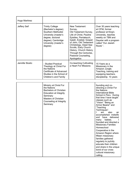| Hugo Martinez   |                                                                                                                                                                                           |                                                                                                                                                                                                                                                                                                                 |                                                                                                                                                                                                                                                                                                                                                                                                                                                                                                                                                                                                                                        |
|-----------------|-------------------------------------------------------------------------------------------------------------------------------------------------------------------------------------------|-----------------------------------------------------------------------------------------------------------------------------------------------------------------------------------------------------------------------------------------------------------------------------------------------------------------|----------------------------------------------------------------------------------------------------------------------------------------------------------------------------------------------------------------------------------------------------------------------------------------------------------------------------------------------------------------------------------------------------------------------------------------------------------------------------------------------------------------------------------------------------------------------------------------------------------------------------------------|
| Jeffery Seif    | <b>Trinity College</b><br>(Bachelor's degree);<br>Southern Methodist<br>University (master's<br>degree, doctoral<br>degree); Cambridge<br>University (master's<br>degree)                 | <b>New Testament</b><br>Survey,<br>Old Testament Survey,<br>Life of Christ, Pauline<br>Epistles, Pentateuch,<br>Isaiah, Ezekiel, Gospel<br>of John, Old Testament<br>Christology, Dead Sea<br>Scrolls, Early Church<br>History, Church History<br>Through the Centuries,<br>Pastoral Counseling,<br>Apologetics | Over 30 years teaching<br>at CFNI, former<br>professor at King's<br>University, teaches<br>weekly on TBN and<br>Daystar with a program<br>called "Our Jewish<br>Roots' '.                                                                                                                                                                                                                                                                                                                                                                                                                                                              |
| Jennifer Bostic | : Studied Practical<br>Theology at Christ For<br>the Nations<br>Certificate of Advanced<br>Studies in the School of<br>Children's and Family                                              | Co-teaching Cultivating<br>a Heart For Missions                                                                                                                                                                                                                                                                 | 15 Years as a<br>Missionary in the<br>Amazon Jungle.<br>Teaching, training and<br>equipping teachers,<br>discipleship. 10 years                                                                                                                                                                                                                                                                                                                                                                                                                                                                                                        |
|                 |                                                                                                                                                                                           |                                                                                                                                                                                                                                                                                                                 |                                                                                                                                                                                                                                                                                                                                                                                                                                                                                                                                                                                                                                        |
|                 | Ministry at Christ For<br>the Nations<br><b>Bachelors of Christian</b><br><b>Education at Integrity</b><br>Seminary<br><b>Masters of Christian</b><br>Counseling at Integrity<br>Seminary |                                                                                                                                                                                                                                                                                                                 | founding and co-<br>directing a Christ For<br>the Nations<br><b>International Bible</b><br>School in Peru. During<br>that time I have taught<br>classes such as<br>"Vision" "Being an<br>Armor Bearer" and<br>"Teaching<br>Techniques".<br>also<br>am<br>an<br>accomplished midwife<br>delivered<br>have<br>and<br>babies.<br>many<br>founded and directed a<br><b>Missionary Families</b><br>Homeschool<br>Cooperative in the<br>Amazon Region where<br>fifteen missionary<br>families gathered<br>regularly to joyfully<br>educate their children<br>and share in the unique<br>bond of our cross<br>cultural missionary<br>calling. |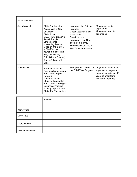| Jonathan Lewis     |                                                                                                                                                                                                                                                                                                                                   |                                                                                                                                                                                                       |                                                                                                                         |
|--------------------|-----------------------------------------------------------------------------------------------------------------------------------------------------------------------------------------------------------------------------------------------------------------------------------------------------------------------------------|-------------------------------------------------------------------------------------------------------------------------------------------------------------------------------------------------------|-------------------------------------------------------------------------------------------------------------------------|
| Joseph Axtell      | <b>DMin Southwestern</b><br>Assemblies of God<br>University<br><b>DMin Project:</b><br>SALVIFIC outreach to<br>Jewish People:<br>Strategies for<br>presenting Jesus as<br>Messiah and Savior.<br>MDiv (Messianic<br>Jewish Studies) The<br>King's University<br>B.A. (Biblical Studies)<br>Trinity College of the<br><b>Bible</b> | Isaiah and the Spirit of<br>Prophecy<br>Guest Lecturer "Bless<br>Israel Week"<br>Guest Lecturer<br>Pentateuch and New<br><b>Testament Survey</b><br>The Missio Dei: God's<br>Plan for world salvation | 32 years of ministry<br>experience<br>25 years of teaching<br>experience                                                |
| <b>Keith Banks</b> | Bachelor of Arts in<br><b>Business Management</b><br>from Dallas Baptist<br>University<br>Master of Arts in<br>Christian Leadership<br>from Dallas Theological<br>Seminary, Practical<br>Ministry Diploma from<br><b>Christ For The Nations</b>                                                                                   | Principles of Worship in<br>the Third Year Program                                                                                                                                                    | 16 years of ministry of<br>experience, 10 years<br>pastoral experience, 15<br>years of short-term<br>mission experience |

|                    | Institute. |  |
|--------------------|------------|--|
| Kerry Wood         |            |  |
| <b>Larry Titus</b> |            |  |
| Laura McKee        |            |  |
| Mercy Casanellas   |            |  |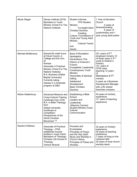| Micah Stegar      | Disney Institute (2016)<br><b>Bachelors in Youth</b><br>Ministry (Christ For The<br>Nations Institute)                                                                                                                                                                                          | <b>Student Informer</b><br><b>YFN Student</b><br>Ministry<br>Co-taught basic<br><b>Christian Doctrine</b><br>Creating<br>Culture- Foundations of<br>Youth and Young Adult<br>Ministry<br><b>Cultural Trends</b><br>and<br><b>Issues</b>                               | 1 Year at Elevation<br>Church<br>5 years of<br>itineranttraveling<br>6 years of<br>youthministry and 1<br>year young adult pastor                                                                                                                                                   |
|-------------------|-------------------------------------------------------------------------------------------------------------------------------------------------------------------------------------------------------------------------------------------------------------------------------------------------|-----------------------------------------------------------------------------------------------------------------------------------------------------------------------------------------------------------------------------------------------------------------------|-------------------------------------------------------------------------------------------------------------------------------------------------------------------------------------------------------------------------------------------------------------------------------------|
| Michael McMenomy  | Earned 64 credit hours<br>at Cloud County Jr.<br>College and the Univ.<br>of<br>Kansas<br>Associate in Practical<br>Ministry (Christ For The<br>Nations Institute)<br><b>B.S. Business (Dallas</b><br><b>Baptist University)</b><br>Currently taking<br>classes in a Graduate<br>program at DBU | <b>Book of Revelation</b><br>Apologetics<br>Generations (The<br>History of America's<br>Future)<br>Evangelistic Leadership<br>Contemporary Youth<br>Ministry<br>Personality & Spiritual<br>Gifting<br>Adolescent<br>Development<br><b>Basic Christian</b><br>Doctrine | 23+ years of FT<br>employed ministry 12<br>of those years in FT<br>youth & children's<br>ministry<br>12+ years of<br>CFNI class<br>teaching 12 years<br>of<br>Marketplace & PT<br>ministry<br>4 years as a Business<br>Development Manager<br>with a #2 ranked<br>franchise company |
| Nickie Geldenhuys | Advanced Missions and<br><b>Cross-Cultural Training</b><br>Certificate from CFNI<br>B.A. in Bible Theology<br>from<br><b>Global University</b><br>Certificate of<br>Completion:<br>Perspectives of the<br>World Christian<br>Movement <sup>™</sup>                                              | Establishing a Bible<br>School<br>Leaders and<br>Leadership<br><b>Missions Connect</b><br><b>Student Ministry Cross-</b><br>Cultural<br>Communication                                                                                                                 | 40 years of ministry<br>experience<br>12 years of teaching<br>experience                                                                                                                                                                                                            |
| Sandra Childress  | Associate of Practical<br>Theology - CFNI<br>(additional musical<br>studies in music track)<br><b>Bachelors of Theology-</b><br>Christian Life School of<br>Theology<br>Various Musical                                                                                                         | Proverbs and<br>Eccesiastes<br><b>Principles of Prayer</b><br>and the Holy Spirit<br>Music and Worship in<br><b>Church History</b><br>Principles of Praise and<br>Worship                                                                                             | 32 years of ministry<br>experience<br>30 years of teaching<br>experience<br>7 years of living on the<br>missions field<br>20 years of local church<br>worship team/                                                                                                                 |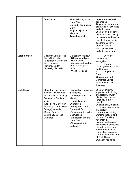|                     | Certifications                                                                                                                                                                                                                                                                    | Music Ministry in the<br><b>Local Church</b><br>Life and Tabernacle of<br>David<br>Steps to Spiritual<br>Maturity<br>Team Leadership                                                                                                                                    | department leadership<br>experience<br>20 years experience in<br>consulting for churches<br>and ministries<br>25 years of experience<br>in the areas of building,<br>developing, and leading<br>ministry teams, ministry<br>departments in the<br>areas of music,<br>worship, leadership,<br>and ministry in general                                                                                                                                                                            |
|---------------------|-----------------------------------------------------------------------------------------------------------------------------------------------------------------------------------------------------------------------------------------------------------------------------------|-------------------------------------------------------------------------------------------------------------------------------------------------------------------------------------------------------------------------------------------------------------------------|-------------------------------------------------------------------------------------------------------------------------------------------------------------------------------------------------------------------------------------------------------------------------------------------------------------------------------------------------------------------------------------------------------------------------------------------------------------------------------------------------|
| Sarah Sanders       | Master of Divinity, The<br>King's University.<br>- Bachelor of Urban and<br>Environmental<br>Planning, Griffith<br>University, Australia.                                                                                                                                         | <b>Christian Worldview</b><br>- Biblical Worldview<br>- Hermeneutics:<br><b>Principals and Methods</b><br>for Interpreting the<br><b>Bible</b><br>- World Religions                                                                                                     | 20 years<br>ministry and<br>evangelism<br>6 years<br>teachingbiblical studies<br>and theology.<br>10 years of<br><b>State</b><br>Government and<br>Corporate Sector<br>Infrastructure and<br>Planning                                                                                                                                                                                                                                                                                           |
| <b>Scott Hinkle</b> | <b>Christ For The Nations</b><br>Institute: Associate of<br><b>Arts- Practical Theology</b><br><b>Bachelor of Practical</b><br>Ministry<br>-Life Pacific University<br>(Formerly L.I.F.E. Bible<br>College) - Attended<br>-Barton County<br><b>Community College</b><br>-Attended | -Evangelism- Message<br>& Theology<br>-Contemporary Urban<br>Ministry<br>-Foundations of<br>Evangelism<br>-Evangelism and the<br><b>Christian Life</b><br>-Communication to the<br>Unchurched<br>-Evangelism and the<br>Local Church<br>-Strategies for All<br>Settings | 50 years ministry<br>experience. Including<br>evangelism, church<br>planter, lead pastor,<br>inner city & street<br>ministry.<br>Leading local, regional,<br>national & international<br>evangelism<br>conferences training<br>workers, leaders and<br>pastors. Traveling<br>nationally &<br>internationally as an<br>evangelist. Conducting<br>citywide outreaches.<br>Author and adjunct<br>evangelism instructor.<br>Co-founder & President<br>of Scott Hinkle<br><b>Outreach Ministries</b> |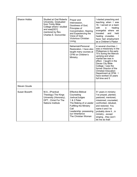| Sharon Hobbs        | <b>Studied at Oral Roberts</b><br>University. Graduated<br>from Trinity Bible<br>College where I studied<br>and was[GD1]<br>mentored by Rev.<br>Charles E. Duncombe | Prayer and<br>Intercession,<br>Goodness of God,<br>Principles of<br>Concentration, Hearing<br>and Experiencing the<br>Voice of God,<br>Victorious Christian<br>Living,                                          | I started preaching and<br>teaching when I was<br>16. I served on a team<br>with<br>healing<br>a<br>evangelist where we<br>traveled<br>and<br>held<br>healing crusades.<br>have had employment<br>as a Children's Pastor                                                                                                                            |
|---------------------|---------------------------------------------------------------------------------------------------------------------------------------------------------------------|-----------------------------------------------------------------------------------------------------------------------------------------------------------------------------------------------------------------|-----------------------------------------------------------------------------------------------------------------------------------------------------------------------------------------------------------------------------------------------------------------------------------------------------------------------------------------------------|
|                     |                                                                                                                                                                     | Nehemiah/Personal<br>Restoration. I have also<br>taught many courses at<br>CFNI on Children's<br>Ministry.                                                                                                      | in several churches. I<br>was a missionary in the<br>Philippines in the early<br>70's during the Marcos<br>uprising and when<br>martial law was in<br>effect. I taught in the<br>Davao City Bible<br>College. I was the<br>former Director of the<br><b>Christian Education</b><br>Department at CFNI. I<br>have worked 33 years<br>full time and 5 |
| <b>Steven Goude</b> |                                                                                                                                                                     |                                                                                                                                                                                                                 |                                                                                                                                                                                                                                                                                                                                                     |
| Susan Bozarth       | M.A., (Practical<br>Theology) The Kings<br>University (Honorary),<br>DPT., Christ For The<br><b>Nations Institute</b>                                               | <b>Effective Biblical</b><br>Counseling<br>Joshua/Judges<br>1 & 2 Peter<br>The Making of a Leader<br><b>Fulfilling the Ministry</b><br>Call<br>Leadership: possessing<br>our Inheritance<br>The Christian Woman | 51 years in ministry:<br>I've prayed, planted,<br>pastored, mentored,<br>missioned, counseled,<br>confronted, rebuked,<br>and restored. You<br>name it and I've<br>probably done itin<br>ministryexcept<br>singingthey won't<br>let me do that!                                                                                                     |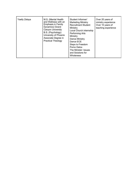| Yaelly Zelaya | M.S. (Mental Health<br>and Wellness with an<br><b>Emphasis in Family</b><br>Dynamics) Grand<br><b>Canyon University</b><br>B.S. (Psychology)<br>University of Phoenix<br>Associate Degree in<br><b>Practical Theology</b> | Student Informer/<br><b>Marketing Ministry</b><br><b>Recruitment Student</b><br>Ministry<br>Local Church internship<br><b>Performing Arts</b><br>Ministry<br>Dance Ministry<br>Dance ECE<br>Steps to Freedom<br>Porno Detox<br>The Minister: Issues<br>and Solutions for | Over 20 years of<br>ministry experience<br>Over 10 years of<br>teaching experience |
|---------------|---------------------------------------------------------------------------------------------------------------------------------------------------------------------------------------------------------------------------|--------------------------------------------------------------------------------------------------------------------------------------------------------------------------------------------------------------------------------------------------------------------------|------------------------------------------------------------------------------------|
|               |                                                                                                                                                                                                                           | <b>Wholeness</b>                                                                                                                                                                                                                                                         |                                                                                    |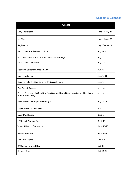# **Academic Calendar**

| <b>Fall 2021</b>                                                                                     |                 |
|------------------------------------------------------------------------------------------------------|-----------------|
| <b>Early Registration</b>                                                                            | June 14-July 25 |
| Add/Drop                                                                                             | June 14-Aug 27  |
| Registration                                                                                         | July 26- Aug 15 |
| New Students Arrive (9am to 4pm)                                                                     | Aug. 9-10       |
| Encounter Service (6:30 to 9:00pm Institute Building)                                                | Aug. 11         |
| <b>New Student Orientations</b>                                                                      | Aug. 11-13      |
| Returning Students Expected Arrival                                                                  | Aug. 12         |
| Late Registration                                                                                    | Aug. 15-22      |
| Opening Rally (Institute Building- Main Auditorium)                                                  | Aug. 16         |
| First Day of Classes                                                                                 | Aug. 16         |
| English Assessments (1pm New Non-Scholarship and 6pm New Scholarship, Library<br>of Jack Moore Hall) | Aug. 16         |
| Music Evaluations (1pm Music Bldg.)                                                                  | Aug. 18-20      |
| Deans Make-Up Orientation                                                                            | Aug. 27         |
| Labor Day Holiday                                                                                    | Sept. 6         |
| 1 <sup>st</sup> Student Payment Day                                                                  | Sept. 15        |
| Voice of Healing Conference                                                                          | Sept. 15-18     |
| 50/50 Celebration                                                                                    | Sept. 22-25     |
| Mid-Term Exams                                                                                       | Oct. 4-8        |
| 2 <sup>nd</sup> Student Payment Day                                                                  | Oct. 15         |
| Campus Days                                                                                          | Oct. 21-22      |